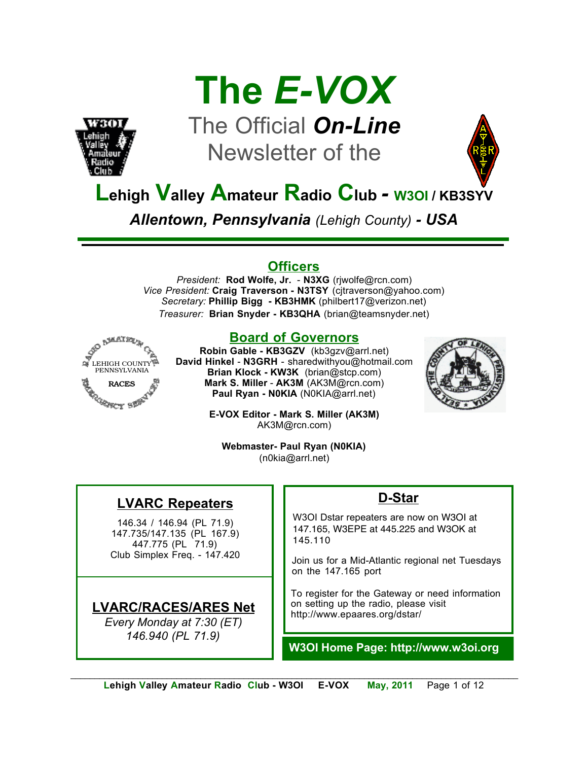



## The Official *On-Line* Newsletter of the



## **Lehigh Valley Amateur Radio Club** *-* **W3OI / KB3SYV**

*Allentown, Pennsylvania (Lehigh County) - USA*

#### **Officers**

*President:* **Rod Wolfe, Jr.** - **N3XG** (rjwolfe@rcn.com) *Vice President:* **Craig Traverson - N3TSY** (cjtraverson@yahoo.com) *Secretary:* **Phillip Bigg - KB3HMK** (philbert17@verizon.net) *Treasurer:* **Brian Snyder - KB3QHA** (brian@teamsnyder.net)



#### **Board of Governors**

**Robin Gable - KB3GZV** (kb3gzv@arrl.net) **David Hinkel** - **N3GRH** - sharedwithyou@hotmail.com **Brian Klock - KW3K** (brian@stcp.com) **Mark S. Miller** - **AK3M** (AK3M@rcn.com) **Paul Ryan - N0KIA** (N0KIA@arrl.net)



**E-VOX Editor - Mark S. Miller (AK3M)** AK3M@rcn.com)

**Webmaster- Paul Ryan (N0KIA)** (n0kia@arrl.net)

### **LVARC Repeaters**

146.34 / 146.94 (PL 71.9) 147.735/147.135 (PL 167.9) 447.775 (PL 71.9) Club Simplex Freq. - 147.420

#### **LVARC/RACES/ARES Net**

*Every Monday at 7:30 (ET) 146.940 (PL 71.9)*

#### **D-Star**

W3OI Dstar repeaters are now on W3OI at 147.165, W3EPE at 445.225 and W3OK at 145.110

Join us for a Mid-Atlantic regional net Tuesdays on the 147.165 port

To register for the Gateway or need information on setting up the radio, please visit http://www.epaares.org/dstar/

**W3OI Home Page: http://www.w3oi.org**

*\_\_\_\_\_\_\_\_\_\_\_\_\_\_\_\_\_\_\_\_\_\_\_\_\_\_\_\_\_\_\_\_\_\_\_\_\_\_\_\_\_\_\_\_\_\_\_\_\_\_\_\_\_\_\_\_\_\_\_\_\_\_\_\_\_\_\_\_\_\_\_\_\_\_\_\_\_\_\_\_\_\_\_\_\_\_\_\_\_\_\_\_\_*  **Lehigh Valley Amateur Radio Club - W3OI E-VOX May, 2011** Page 1 of 12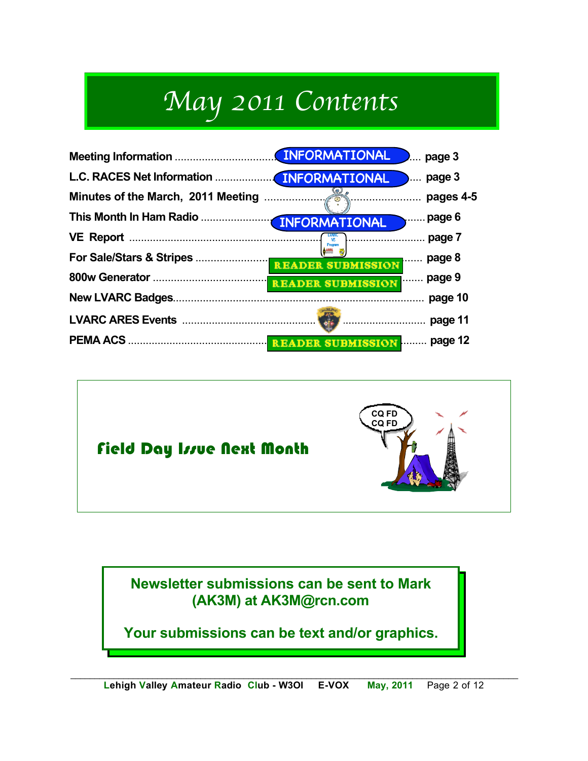# *May 2011 Contents*





**Newsletter submissions can be sent to Mark (AK3M) at AK3M@rcn.com**

**Your submissions can be text and/or graphics.**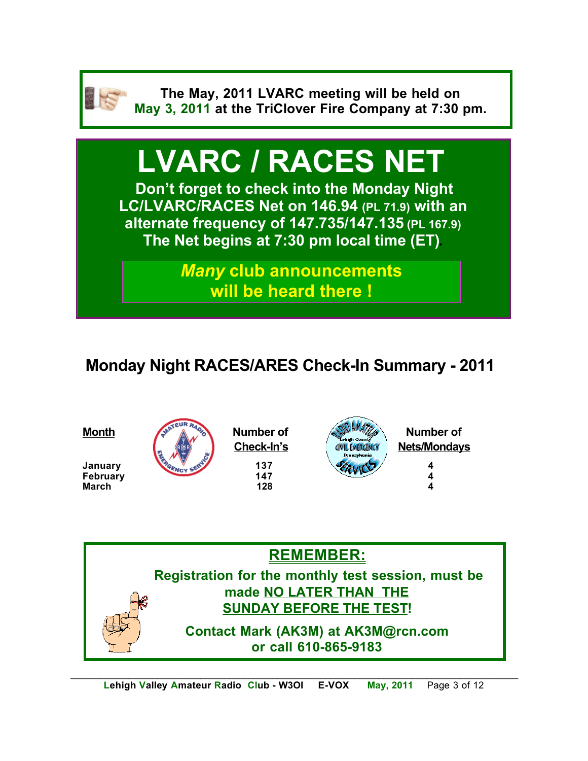

**The May, 2011 LVARC meeting will be held on May 3, 2011 at the TriClover Fire Company at 7:30 pm.**

# **LVARC / RACES NET**

**Don't forget to check into the Monday Night LC/LVARC/RACES Net on 146.94 (PL 71.9) with an alternate frequency of 147.735/147.135 (PL 167.9) The Net begins at 7:30 pm local time (ET).** 

> *Many* **club announcements will be heard there !**

## **Monday Night RACES/ARES Check-In Summary - 2011**

**February** 





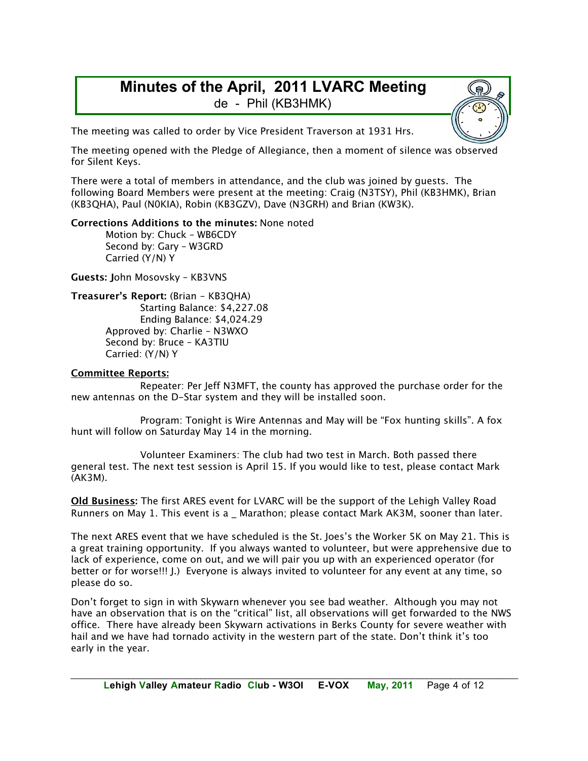#### **Minutes of the April, 2011 LVARC Meeting** de - Phil (KB3HMK)

The meeting was called to order by Vice President Traverson at 1931 Hrs.

The meeting opened with the Pledge of Allegiance, then a moment of silence was observed for Silent Keys.

There were a total of members in attendance, and the club was joined by guests. The following Board Members were present at the meeting: Craig (N3TSY), Phil (KB3HMK), Brian (KB3QHA), Paul (N0KIA), Robin (KB3GZV), Dave (N3GRH) and Brian (KW3K).

#### **Corrections Additions to the minutes:** None noted

Motion by: Chuck – WB6CDY Second by: Gary – W3GRD Carried (Y/N) Y

**Guests: J**ohn Mosovsky – KB3VNS

```
Treasurer's Report: (Brian – KB3QHA)
       Starting Balance: $4,227.08
       Ending Balance: $4,024.29
Approved by: Charlie – N3WXO
Second by: Bruce – KA3TIU
Carried: (Y/N) Y
```
#### **Committee Reports:**

Repeater: Per Jeff N3MFT, the county has approved the purchase order for the new antennas on the D-Star system and they will be installed soon.

Program: Tonight is Wire Antennas and May will be "Fox hunting skills". A fox hunt will follow on Saturday May 14 in the morning.

Volunteer Examiners: The club had two test in March. Both passed there general test. The next test session is April 15. If you would like to test, please contact Mark (AK3M).

**Old Business:** The first ARES event for LVARC will be the support of the Lehigh Valley Road Runners on May 1. This event is a \_ Marathon; please contact Mark AK3M, sooner than later.

The next ARES event that we have scheduled is the St. Joes's the Worker 5K on May 21. This is a great training opportunity. If you always wanted to volunteer, but were apprehensive due to lack of experience, come on out, and we will pair you up with an experienced operator (for better or for worse!!! J.) Everyone is always invited to volunteer for any event at any time, so please do so.

Don't forget to sign in with Skywarn whenever you see bad weather. Although you may not have an observation that is on the "critical" list, all observations will get forwarded to the NWS office. There have already been Skywarn activations in Berks County for severe weather with hail and we have had tornado activity in the western part of the state. Don't think it's too early in the year.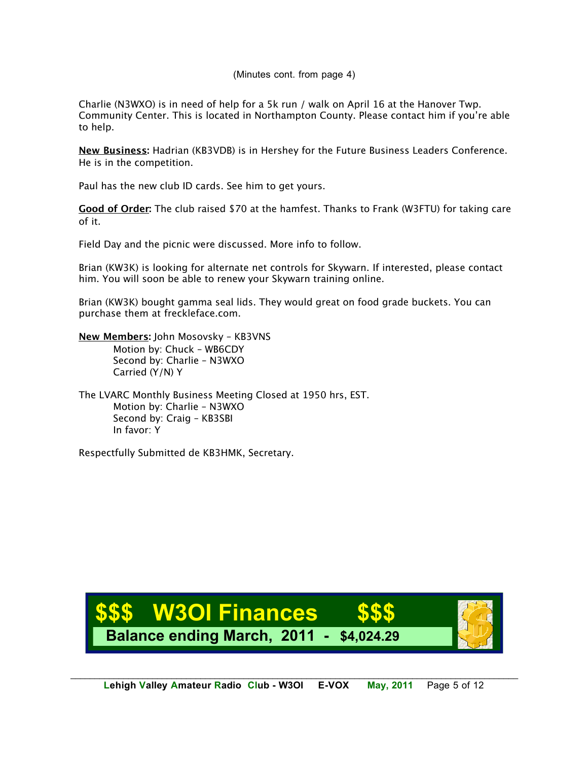#### (Minutes cont. from page 4)

Charlie (N3WXO) is in need of help for a 5k run / walk on April 16 at the Hanover Twp. Community Center. This is located in Northampton County. Please contact him if you're able to help.

**New Business:** Hadrian (KB3VDB) is in Hershey for the Future Business Leaders Conference. He is in the competition.

Paul has the new club ID cards. See him to get yours.

**Good of Order:** The club raised \$70 at the hamfest. Thanks to Frank (W3FTU) for taking care of it.

Field Day and the picnic were discussed. More info to follow.

Brian (KW3K) is looking for alternate net controls for Skywarn. If interested, please contact him. You will soon be able to renew your Skywarn training online.

Brian (KW3K) bought gamma seal lids. They would great on food grade buckets. You can purchase them at freckleface.com.

**New Members:** John Mosovsky – KB3VNS Motion by: Chuck – WB6CDY Second by: Charlie – N3WXO Carried (Y/N) Y

The LVARC Monthly Business Meeting Closed at 1950 hrs, EST. Motion by: Charlie – N3WXO Second by: Craig – KB3SBI In favor: Y

Respectfully Submitted de KB3HMK, Secretary.

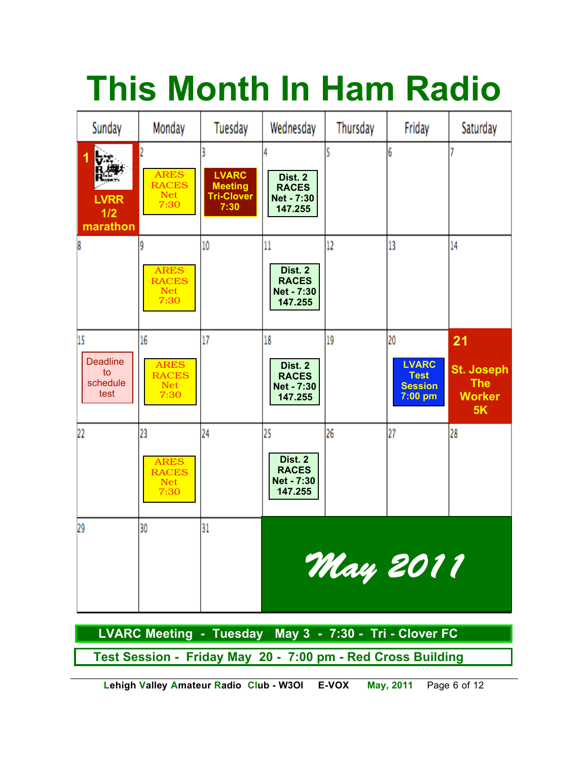# **This Month In Ham Radio**



 **Test Session - Friday May 20 - 7:00 pm - Red Cross Building**

*\_\_\_\_\_\_\_\_\_\_\_\_\_\_\_\_\_\_\_\_\_\_\_\_\_\_\_\_\_\_\_\_\_\_\_\_\_\_\_\_\_\_\_\_\_\_\_\_\_\_\_\_\_\_\_\_\_\_\_\_\_\_\_\_\_\_\_\_\_\_\_\_\_\_\_\_\_\_\_\_\_\_\_\_\_\_\_\_\_\_\_\_\_*  **Lehigh Valley Amateur Radio Club - W3OI E-VOX May, 2011** Page 6 of 12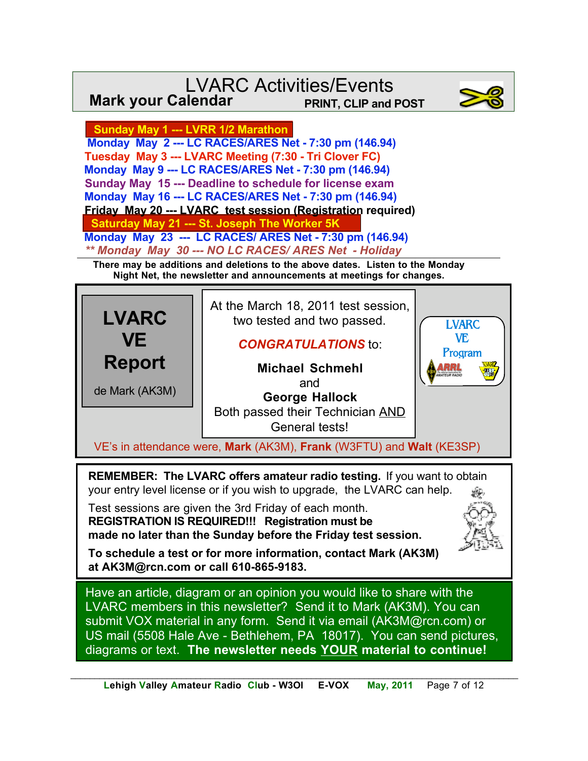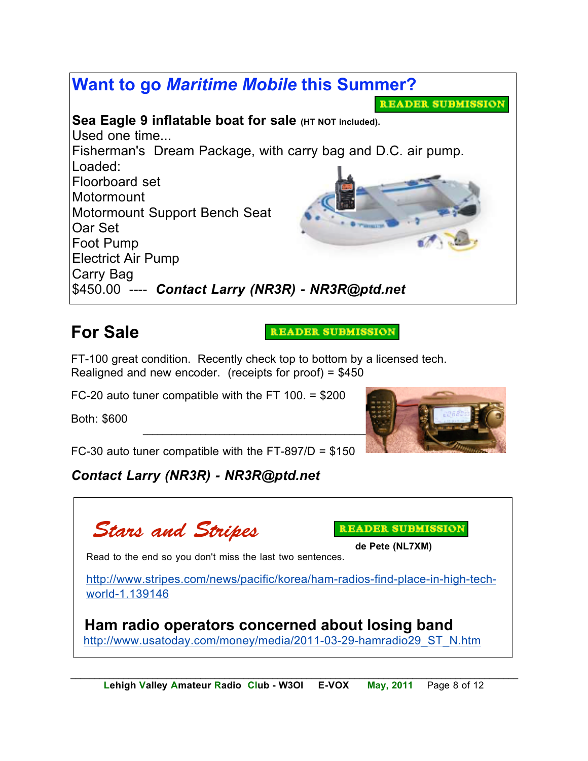

## **For Sale**

READER SUBMISSION

FT-100 great condition. Recently check top to bottom by a licensed tech. Realigned and new encoder. (receipts for proof) = \$450

FC-20 auto tuner compatible with the FT 100. = \$200

Both: \$600



FC-30 auto tuner compatible with the FT-897/D =  $$150$ 

#### *Contact Larry (NR3R) - NR3R@ptd.net*



READER SUBMISSION

**de Pete (NL7XM)**

Read to the end so you don't miss the last two sentences.

http://www.stripes.com/news/pacific/korea/ham-radios-find-place-in-high-techworld-1.139146

http://www.usatoday.com/money/media/2011-03-29-hamradio29\_ST\_N.htm **Ham radio operators concerned about losing band**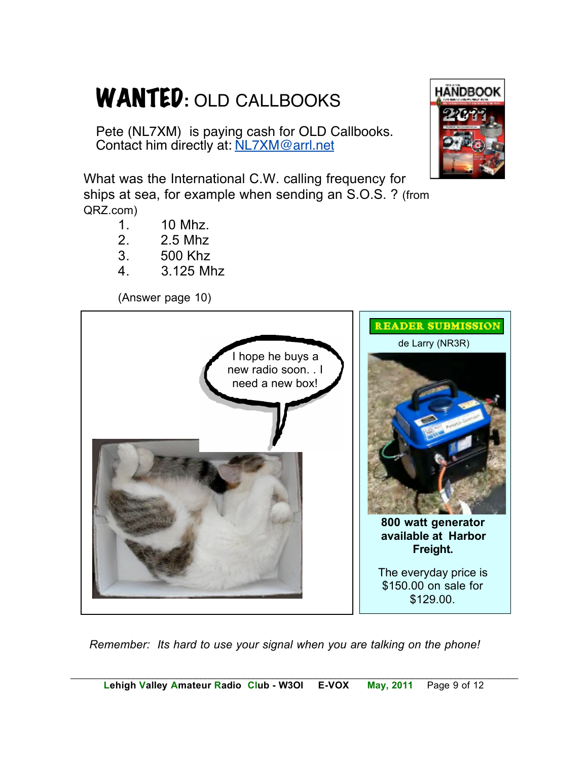# WANTED**:** OLD CALLBOOKS

Pete (NL7XM) is paying cash for OLD Callbooks. Contact him directly at: NL7XM@arrl.net

What was the International C.W. calling frequency for ships at sea, for example when sending an S.O.S. ? (from QRZ.com)

- 1. 10 Mhz.
- 2. 2.5 Mhz
- 3. 500 Khz
- 4. 3.125 Mhz

(Answer page 10)



*Remember: Its hard to use your signal when you are talking on the phone!*

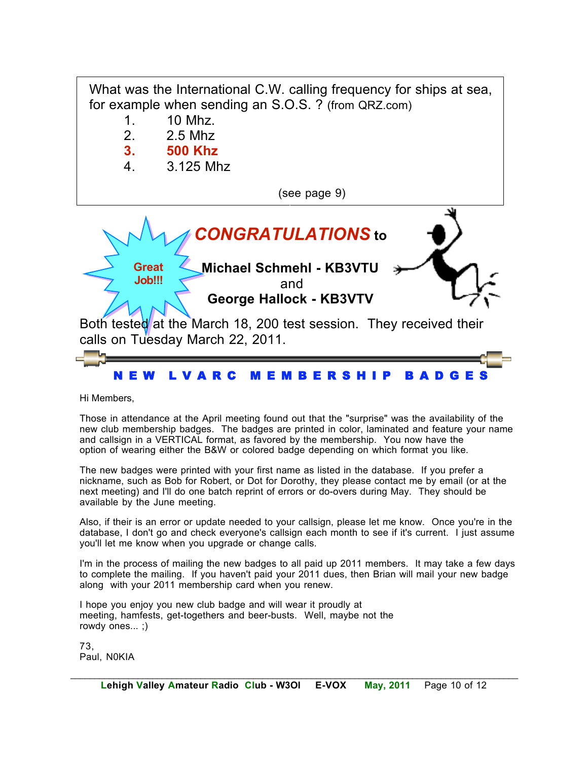

Hi Members,

Those in attendance at the April meeting found out that the "surprise" was the availability of the new club membership badges. The badges are printed in color, laminated and feature your name and callsign in a VERTICAL format, as favored by the membership. You now have the option of wearing either the B&W or colored badge depending on which format you like.

The new badges were printed with your first name as listed in the database. If you prefer a nickname, such as Bob for Robert, or Dot for Dorothy, they please contact me by email (or at the next meeting) and I'll do one batch reprint of errors or do-overs during May. They should be available by the June meeting.

Also, if their is an error or update needed to your callsign, please let me know. Once you're in the database, I don't go and check everyone's callsign each month to see if it's current. I just assume you'll let me know when you upgrade or change calls.

de complete the manning. In you haven't pain your Lovin at along with your 2011 membership card when you renew. I'm in the process of mailing the new badges to all paid up 2011 members. It may take a few days to complete the mailing. If you haven't paid your 2011 dues, then Brian will mail your new badge

I hope you enjoy you new club badge and will wear it proudly at meeting, hamfests, get-togethers and beer-busts. Well, maybe not the rowdy ones... ;)

73, Paul, N0KIA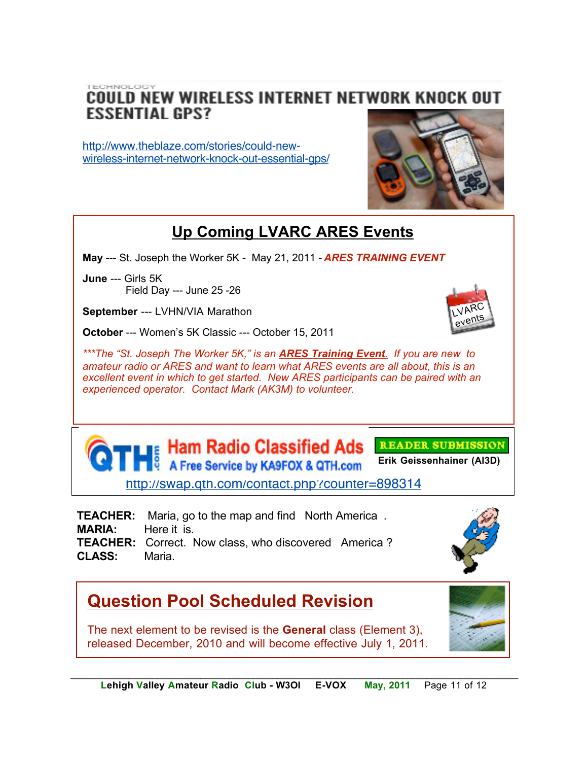TECHNOLOGY COULD NEW WIRELESS INTERNET NETWORK KNOCK OUT **ESSENTIAL GPS?** 

http://www.theblaze.com/stories/could-newwireless-internet-network-knock-out-essential-gps/



## **Up Coming LVARC ARES Events**

**May** --- St. Joseph the Worker 5K - May 21, 2011 - *ARES TRAINING EVENT*

**June** --- Girls 5K Field Day --- June 25 -26

**September** --- LVHN/VIA Marathon

**October** --- Women's 5K Classic --- October 15, 2011

*\*\*\*The "St. Joseph The Worker 5K," is an ARES Training Event. If you are new to amateur radio or ARES and want to learn what ARES events are all about, this is an excellent event in which to get started. New ARES participants can be paired with an experienced operator. Contact Mark (AK3M) to volunteer.*





**TEACHER:** Maria, go to the map and find North America . **MARIA:** Here it is. **TEACHER:** Correct. Now class, who discovered America ? **CLASS:** Maria.



## **Question Pool Scheduled Revision**

The next element to be revised is the **General** class (Element 3), released December, 2010 and will become effective July 1, 2011.